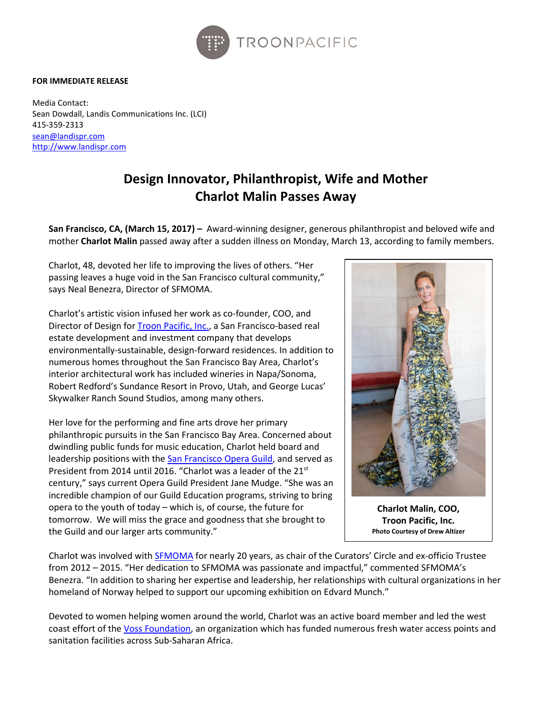

## **FOR IMMEDIATE RELEASE**

Media Contact: Sean Dowdall, Landis Communications Inc. (LCI) 415-359-2313 [sean@landispr.com](mailto:sean@landispr.com) [http://www.landispr.com](http://www.landispr.com/)

## **Design Innovator, Philanthropist, Wife and Mother Charlot Malin Passes Away**

**San Francisco, CA, (March 15, 2017) –** Award-winning designer, generous philanthropist and beloved wife and mother **Charlot Malin** passed away after a sudden illness on Monday, March 13, according to family members.

Charlot, 48, devoted her life to improving the lives of others. "Her passing leaves a huge void in the San Francisco cultural community," says Neal Benezra, Director of SFMOMA.

Charlot's artistic vision infused her work as co-founder, COO, and Director of Design fo[r Troon Pacific,](http://www.troonpacific.com/) Inc., a San Francisco-based real estate development and investment company that develops environmentally-sustainable, design-forward residences. In addition to numerous homes throughout the San Francisco Bay Area, Charlot's interior architectural work has included wineries in Napa/Sonoma, Robert Redford's Sundance Resort in Provo, Utah, and George Lucas' Skywalker Ranch Sound Studios, among many others.

Her love for the performing and fine arts drove her primary philanthropic pursuits in the San Francisco Bay Area. Concerned about dwindling public funds for music education, Charlot held board and leadership positions with the [San Francisco Opera Guild,](https://sfopera.com/opera-guild/) and served as President from 2014 until 2016. "Charlot was a leader of the 21st century," says current Opera Guild President Jane Mudge. "She was an incredible champion of our Guild Education programs, striving to bring opera to the youth of today – which is, of course, the future for tomorrow. We will miss the grace and goodness that she brought to the Guild and our larger arts community."



**Charlot Malin, COO, Troon Pacific, Inc. Photo Courtesy of Drew Altizer**

Charlot was involved with [SFMOMA](http://www.sfmoma.org/) for nearly 20 years, as chair of the Curators' Circle and ex-officio Trustee from 2012 – 2015. "Her dedication to SFMOMA was passionate and impactful," commented SFMOMA's Benezra. "In addition to sharing her expertise and leadership, her relationships with cultural organizations in her homeland of Norway helped to support our upcoming exhibition on Edvard Munch."

Devoted to women helping women around the world, Charlot was an active board member and led the west coast effort of the [Voss Foundation,](http://www.vossfoundation.org/) an organization which has funded numerous fresh water access points and sanitation facilities across Sub-Saharan Africa.